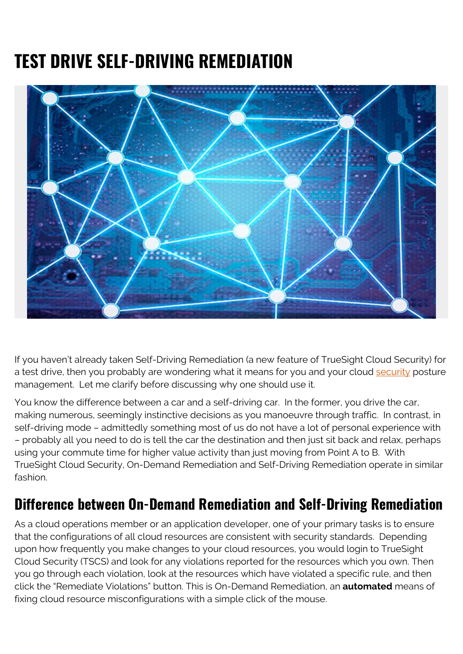## **TEST DRIVE SELF-DRIVING REMEDIATION**



If you haven't already taken Self-Driving Remediation (a new feature of TrueSight Cloud Security) for a test drive, then you probably are wondering what it means for you and your cloud [security](https://blogs.bmc.com/blogs/security-vulnerability-vs-threat-vs-risk-whats-difference/) posture management. Let me clarify before discussing why one should use it.

You know the difference between a car and a self-driving car. In the former, you drive the car, making numerous, seemingly instinctive decisions as you manoeuvre through traffic. In contrast, in self-driving mode – admittedly something most of us do not have a lot of personal experience with – probably all you need to do is tell the car the destination and then just sit back and relax, perhaps using your commute time for higher value activity than just moving from Point A to B. With TrueSight Cloud Security, On-Demand Remediation and Self-Driving Remediation operate in similar fashion.

## **Difference between On-Demand Remediation and Self-Driving Remediation**

As a cloud operations member or an application developer, one of your primary tasks is to ensure that the configurations of all cloud resources are consistent with security standards. Depending upon how frequently you make changes to your cloud resources, you would login to TrueSight Cloud Security (TSCS) and look for any violations reported for the resources which you own. Then you go through each violation, look at the resources which have violated a specific rule, and then click the "Remediate Violations" button. This is On-Demand Remediation, an **automated** means of fixing cloud resource misconfigurations with a simple click of the mouse.